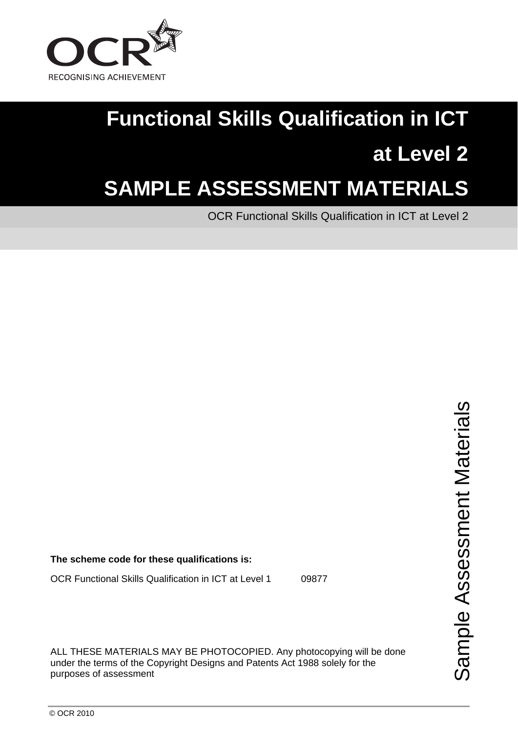

# **Functional Skills Qualification in ICT at Level 2**

## **SAMPLE ASSESSMENT MATERIALS**

OCR Functional Skills Qualification in ICT at Level 2

**The scheme code for these qualifications is:** 

OCR Functional Skills Qualification in ICT at Level 1 09877

ALL THESE MATERIALS MAY BE PHOTOCOPIED. Any photocopying will be done under the terms of the Copyright Designs and Patents Act 1988 solely for the purposes of assessment

Sample Assessment Materials ple Assessment Materials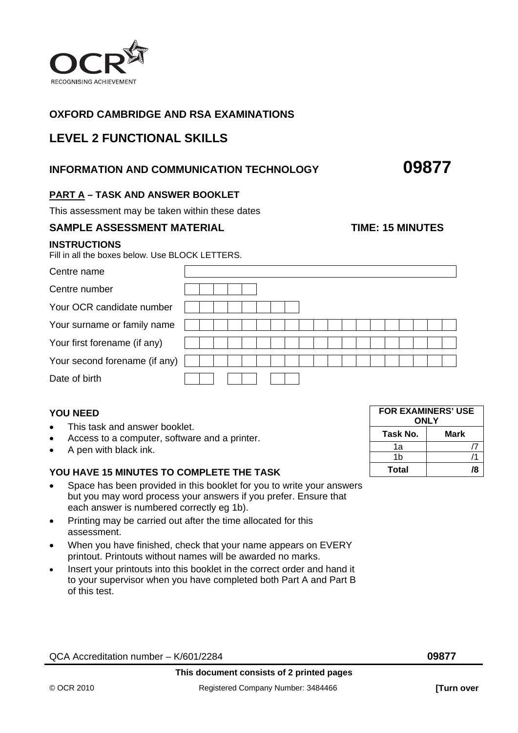

#### **OXFORD CAMBRIDGE AND RSA EXAMINATIONS**

#### **LEVEL 2 FUNCTIONAL SKILLS**

#### **INFORMATION AND COMMUNICATION TECHNOLOGY 09877**

### **PART A – TASK AND ANSWER BOOKLET**

This assessment may be taken within these dates

#### **SAMPLE ASSESSMENT MATERIAL CONSUMING THE TIME: 15 MINUTES**

#### **INSTRUCTIONS**

Fill in all the boxes below. Use BLOCK LETTERS.

| Centre name                   |  |  |  |  |  |  |  |  |  |
|-------------------------------|--|--|--|--|--|--|--|--|--|
| Centre number                 |  |  |  |  |  |  |  |  |  |
| Your OCR candidate number     |  |  |  |  |  |  |  |  |  |
| Your surname or family name   |  |  |  |  |  |  |  |  |  |
| Your first forename (if any)  |  |  |  |  |  |  |  |  |  |
| Your second forename (if any) |  |  |  |  |  |  |  |  |  |
| Date of birth                 |  |  |  |  |  |  |  |  |  |

#### **YOU NEED**

- This task and answer booklet.
- Access to a computer, software and a printer.
- A pen with black ink.

#### **YOU HAVE 15 MINUTES TO COMPLETE THE TASK**

- Space has been provided in this booklet for you to write your answers but you may word process your answers if you prefer. Ensure that each answer is numbered correctly eg 1b).
- Printing may be carried out after the time allocated for this assessment.
- When you have finished, check that your name appears on EVERY printout. Printouts without names will be awarded no marks.
- Insert your printouts into this booklet in the correct order and hand it to your supervisor when you have completed both Part A and Part B of this test.

| <b>FOR EXAMINERS' USE</b><br><b>ONLY</b> |    |  |  |  |  |  |
|------------------------------------------|----|--|--|--|--|--|
| Task No.<br>Mark                         |    |  |  |  |  |  |
| 1а                                       |    |  |  |  |  |  |
| 1b                                       |    |  |  |  |  |  |
| Total                                    | 78 |  |  |  |  |  |

QCA Accreditation number – K/601/2284 **09877**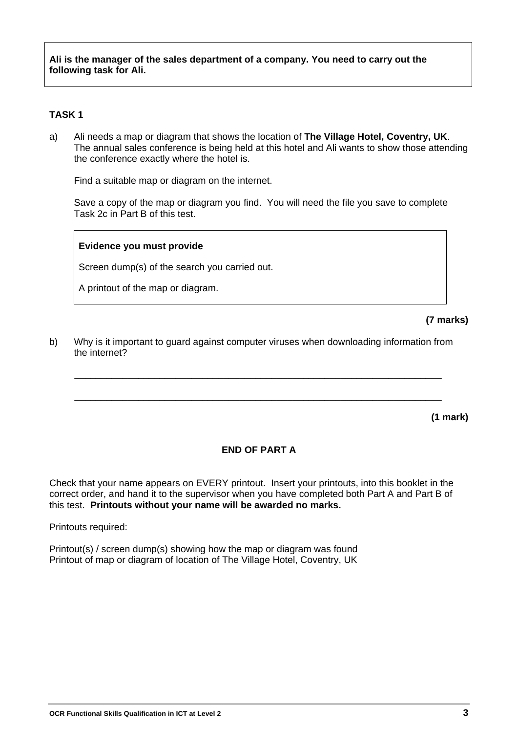**Ali is the manager of the sales department of a company. You need to carry out the following task for Ali.** 

#### **TASK 1**

a) Ali needs a map or diagram that shows the location of **The Village Hotel, Coventry, UK**. The annual sales conference is being held at this hotel and Ali wants to show those attending the conference exactly where the hotel is.

Find a suitable map or diagram on the internet.

 Save a copy of the map or diagram you find. You will need the file you save to complete Task 2c in Part B of this test.

#### **Evidence you must provide**

Screen dump(s) of the search you carried out.

A printout of the map or diagram.

**(7 marks)** 

b) Why is it important to guard against computer viruses when downloading information from the internet?

\_\_\_\_\_\_\_\_\_\_\_\_\_\_\_\_\_\_\_\_\_\_\_\_\_\_\_\_\_\_\_\_\_\_\_\_\_\_\_\_\_\_\_\_\_\_\_\_\_\_\_\_\_\_\_\_\_\_\_\_\_\_\_\_\_\_\_\_\_

\_\_\_\_\_\_\_\_\_\_\_\_\_\_\_\_\_\_\_\_\_\_\_\_\_\_\_\_\_\_\_\_\_\_\_\_\_\_\_\_\_\_\_\_\_\_\_\_\_\_\_\_\_\_\_\_\_\_\_\_\_\_\_\_\_\_\_\_\_

**(1 mark)** 

#### **END OF PART A**

Check that your name appears on EVERY printout. Insert your printouts, into this booklet in the correct order, and hand it to the supervisor when you have completed both Part A and Part B of this test. **Printouts without your name will be awarded no marks.** 

Printouts required:

Printout(s) / screen dump(s) showing how the map or diagram was found Printout of map or diagram of location of The Village Hotel, Coventry, UK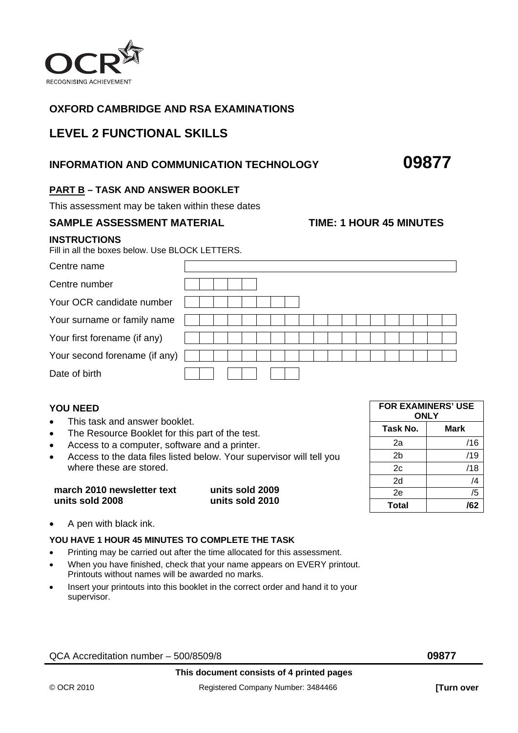

#### **OXFORD CAMBRIDGE AND RSA EXAMINATIONS**

### **LEVEL 2 FUNCTIONAL SKILLS**

#### **INFORMATION AND COMMUNICATION TECHNOLOGY 09877**

#### **PART B – TASK AND ANSWER BOOKLET**

This assessment may be taken within these dates

#### **SAMPLE ASSESSMENT MATERIAL TIME: 1 HOUR 45 MINUTES**

#### **INSTRUCTIONS**

Fill in all the boxes below. Use BLOCK LETTERS.

| Centre name                   |  |  |  |  |  |  |  |  |  |  |
|-------------------------------|--|--|--|--|--|--|--|--|--|--|
| Centre number                 |  |  |  |  |  |  |  |  |  |  |
| Your OCR candidate number     |  |  |  |  |  |  |  |  |  |  |
| Your surname or family name   |  |  |  |  |  |  |  |  |  |  |
| Your first forename (if any)  |  |  |  |  |  |  |  |  |  |  |
| Your second forename (if any) |  |  |  |  |  |  |  |  |  |  |
| Date of birth                 |  |  |  |  |  |  |  |  |  |  |

#### **YOU NEED**

- This task and answer booklet.
- The Resource Booklet for this part of the test.
- Access to a computer, software and a printer.
- Access to the data files listed below. Your supervisor will tell you where these are stored.

| march 2010 newsletter text | units sold 2009 |
|----------------------------|-----------------|
| units sold 2008            | units sold 2010 |

• A pen with black ink.

#### **YOU HAVE 1 HOUR 45 MINUTES TO COMPLETE THE TASK**

- Printing may be carried out after the time allocated for this assessment.
- When you have finished, check that your name appears on EVERY printout. Printouts without names will be awarded no marks.
- Insert your printouts into this booklet in the correct order and hand it to your supervisor.

QCA Accreditation number – 500/8509/8 **09877** 

| <b>FOR EXAMINERS' USE</b><br>ONLY |     |  |  |  |  |  |
|-----------------------------------|-----|--|--|--|--|--|
| Task No.<br>Mark                  |     |  |  |  |  |  |
| 2a                                | /16 |  |  |  |  |  |
| 2b                                | /19 |  |  |  |  |  |
| 2c                                | /18 |  |  |  |  |  |
| 2d                                | /4  |  |  |  |  |  |
| 2e                                | /5  |  |  |  |  |  |
| Total                             | /62 |  |  |  |  |  |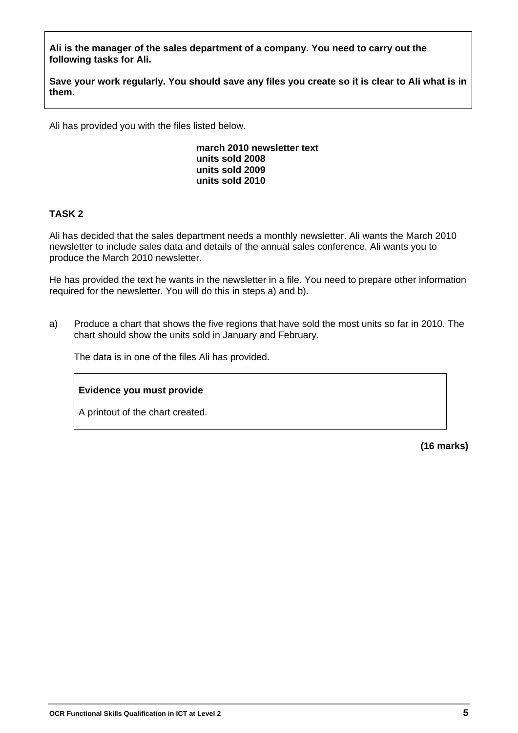**Ali is the manager of the sales department of a company. You need to carry out the following tasks for Ali.** 

**Save your work regularly. You should save any files you create so it is clear to Ali what is in them.** 

Ali has provided you with the files listed below.

**march 2010 newsletter text units sold 2008 units sold 2009 units sold 2010** 

#### **TASK 2**

Ali has decided that the sales department needs a monthly newsletter. Ali wants the March 2010 newsletter to include sales data and details of the annual sales conference. Ali wants you to produce the March 2010 newsletter.

He has provided the text he wants in the newsletter in a file. You need to prepare other information required for the newsletter. You will do this in steps a) and b).

a) Produce a chart that shows the five regions that have sold the most units so far in 2010. The chart should show the units sold in January and February.

The data is in one of the files Ali has provided.

#### **Evidence you must provide**

A printout of the chart created.

**(16 marks)**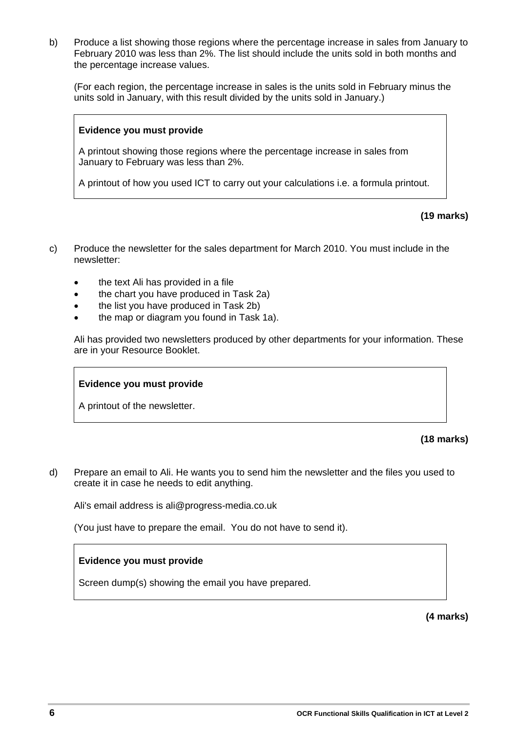b) Produce a list showing those regions where the percentage increase in sales from January to February 2010 was less than 2%. The list should include the units sold in both months and the percentage increase values.

 (For each region, the percentage increase in sales is the units sold in February minus the units sold in January, with this result divided by the units sold in January.)

#### **Evidence you must provide**

A printout showing those regions where the percentage increase in sales from January to February was less than 2%.

A printout of how you used ICT to carry out your calculations i.e. a formula printout.

**(19 marks)** 

- c) Produce the newsletter for the sales department for March 2010. You must include in the newsletter:
	- the text Ali has provided in a file
	- the chart you have produced in Task 2a)
	- the list you have produced in Task 2b)
	- the map or diagram you found in Task 1a).

 Ali has provided two newsletters produced by other departments for your information. These are in your Resource Booklet.

#### **Evidence you must provide**

A printout of the newsletter.

**(18 marks)** 

d) Prepare an email to Ali. He wants you to send him the newsletter and the files you used to create it in case he needs to edit anything.

Ali's email address is ali@progress-media.co.uk

(You just have to prepare the email. You do not have to send it).

#### **Evidence you must provide**

Screen dump(s) showing the email you have prepared.

**(4 marks)**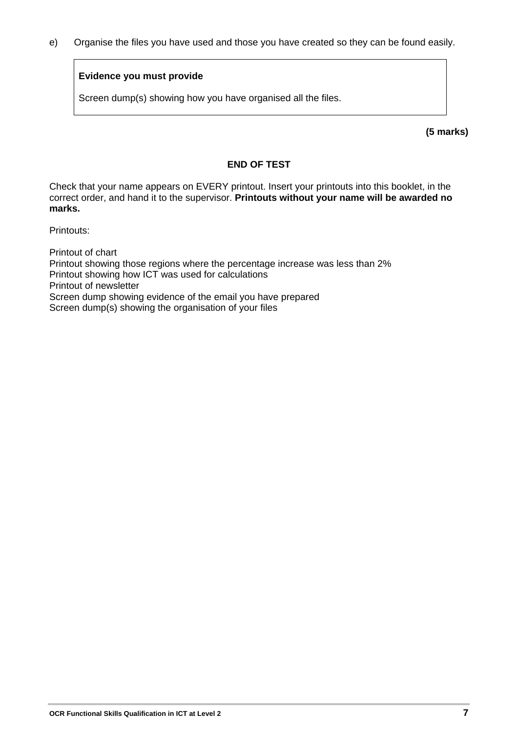e) Organise the files you have used and those you have created so they can be found easily.

#### **Evidence you must provide**

Screen dump(s) showing how you have organised all the files.

**(5 marks)** 

#### **END OF TEST**

Check that your name appears on EVERY printout. Insert your printouts into this booklet, in the correct order, and hand it to the supervisor. **Printouts without your name will be awarded no marks.** 

Printouts:

Printout of chart Printout showing those regions where the percentage increase was less than 2% Printout showing how ICT was used for calculations Printout of newsletter Screen dump showing evidence of the email you have prepared Screen dump(s) showing the organisation of your files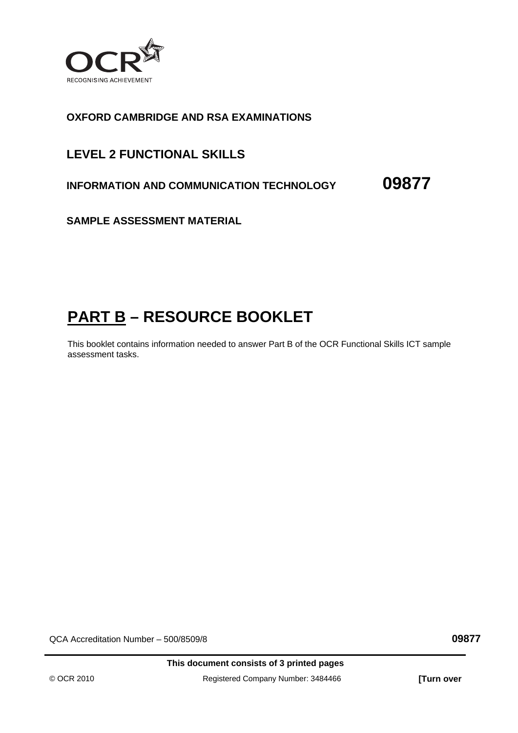

#### **OXFORD CAMBRIDGE AND RSA EXAMINATIONS**

### **LEVEL 2 FUNCTIONAL SKILLS**

**INFORMATION AND COMMUNICATION TECHNOLOGY 09877**

**SAMPLE ASSESSMENT MATERIAL** 

## **PART B – RESOURCE BOOKLET**

This booklet contains information needed to answer Part B of the OCR Functional Skills ICT sample assessment tasks.

QCA Accreditation Number – 500/8509/8 **09877**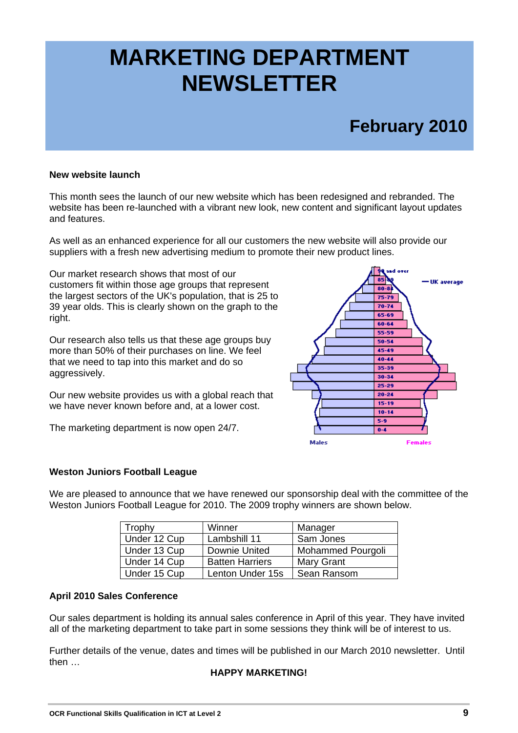## **MARKETING DEPARTMENT NEWSLETTER**

## **February 2010**

#### **New website launch**

This month sees the launch of our new website which has been redesigned and rebranded. The website has been re-launched with a vibrant new look, new content and significant layout updates and features.

As well as an enhanced experience for all our customers the new website will also provide our suppliers with a fresh new advertising medium to promote their new product lines.

Our market research shows that most of our customers fit within those age groups that represent the largest sectors of the UK's population, that is 25 to 39 year olds. This is clearly shown on the graph to the right.

Our research also tells us that these age groups buy more than 50% of their purchases on line. We feel that we need to tap into this market and do so aggressively.

Our new website provides us with a global reach that we have never known before and, at a lower cost.

The marketing department is now open 24/7.



#### **Weston Juniors Football League**

We are pleased to announce that we have renewed our sponsorship deal with the committee of the Weston Juniors Football League for 2010. The 2009 trophy winners are shown below.

| Trophy       | Winner                 | Manager                  |
|--------------|------------------------|--------------------------|
| Under 12 Cup | Lambshill 11           | Sam Jones                |
| Under 13 Cup | Downie United          | <b>Mohammed Pourgoli</b> |
| Under 14 Cup | <b>Batten Harriers</b> | <b>Mary Grant</b>        |
| Under 15 Cup | Lenton Under 15s       | Sean Ransom              |

#### **April 2010 Sales Conference**

Our sales department is holding its annual sales conference in April of this year. They have invited all of the marketing department to take part in some sessions they think will be of interest to us.

Further details of the venue, dates and times will be published in our March 2010 newsletter. Until then …

#### **HAPPY MARKETING!**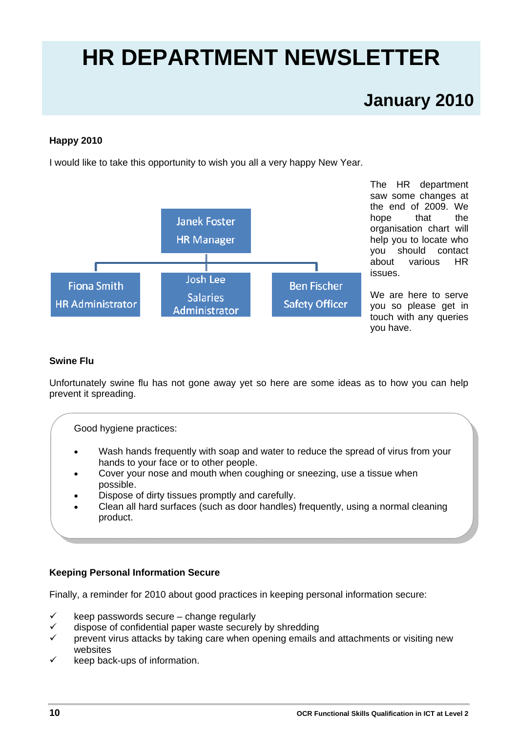# **HR DEPARTMENT NEWSLETTER**

## **January 2010**

#### **Happy 2010**

I would like to take this opportunity to wish you all a very happy New Year.



The HR department saw some changes at the end of 2009. We hope that the organisation chart will help you to locate who you should contact about various HR issues.

We are here to serve you so please get in touch with any queries you have.

#### **Swine Flu**

Unfortunately swine flu has not gone away yet so here are some ideas as to how you can help prevent it spreading.

Good hygiene practices:

- Wash hands frequently with soap and water to reduce the spread of virus from your hands to your face or to other people.
- Cover your nose and mouth when coughing or sneezing, use a tissue when possible.
- Dispose of dirty tissues promptly and carefully.
- Clean all hard surfaces (such as door handles) frequently, using a normal cleaning product.

#### **Keeping Personal Information Secure**

Finally, a reminder for 2010 about good practices in keeping personal information secure:

- keep passwords secure change regularly
- $\checkmark$  dispose of confidential paper waste securely by shredding
- prevent virus attacks by taking care when opening emails and attachments or visiting new websites
- keep back-ups of information.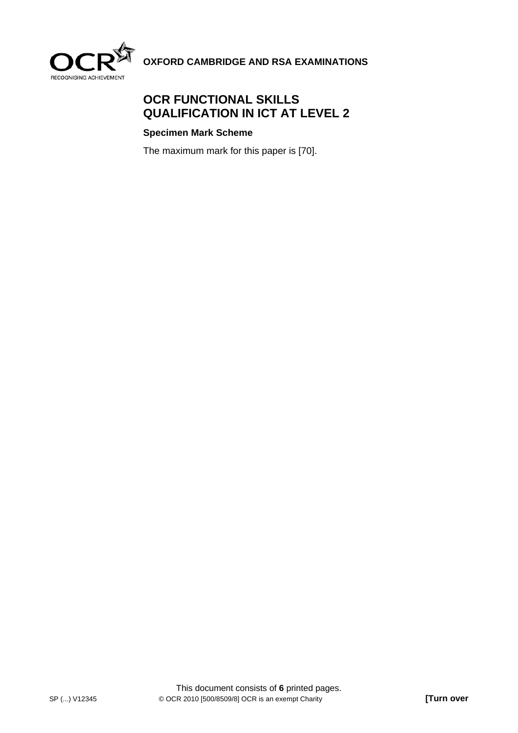

**OXFORD CAMBRIDGE AND RSA EXAMINATIONS** 

#### **OCR FUNCTIONAL SKILLS QUALIFICATION IN ICT AT LEVEL 2**

#### **Specimen Mark Scheme**

The maximum mark for this paper is [70].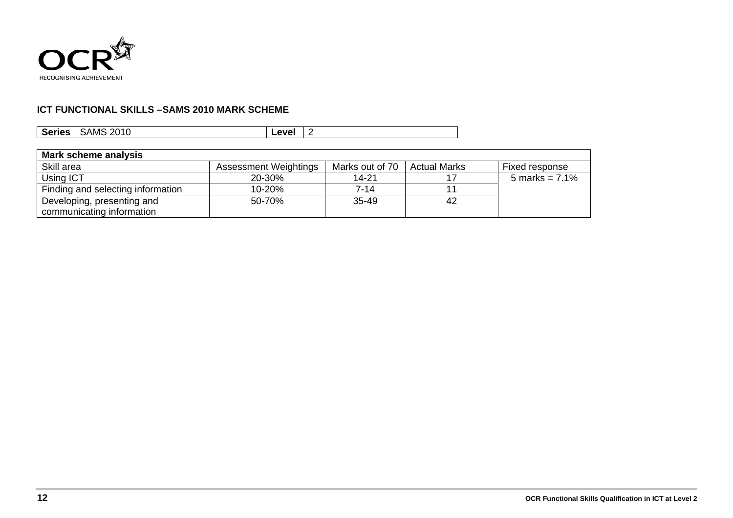

#### **ICT FUNCTIONAL SKILLS – SAMS 2010 MARK SCHEME**

| <b>SAMS 2010</b> | ∟evel |
|------------------|-------|
| <b>Series</b>    | -     |

| Mark scheme analysis              |                       |                 |                     |                   |
|-----------------------------------|-----------------------|-----------------|---------------------|-------------------|
| Skill area                        | Assessment Weightings | Marks out of 70 | <b>Actual Marks</b> | Fixed response    |
| Using ICT                         | 20-30%                | 14-21           |                     | 5 marks = $7.1\%$ |
| Finding and selecting information | 10-20%                | $7 - 14$        |                     |                   |
| Developing, presenting and        | 50-70%                | 35-49           | 42                  |                   |
| communicating information         |                       |                 |                     |                   |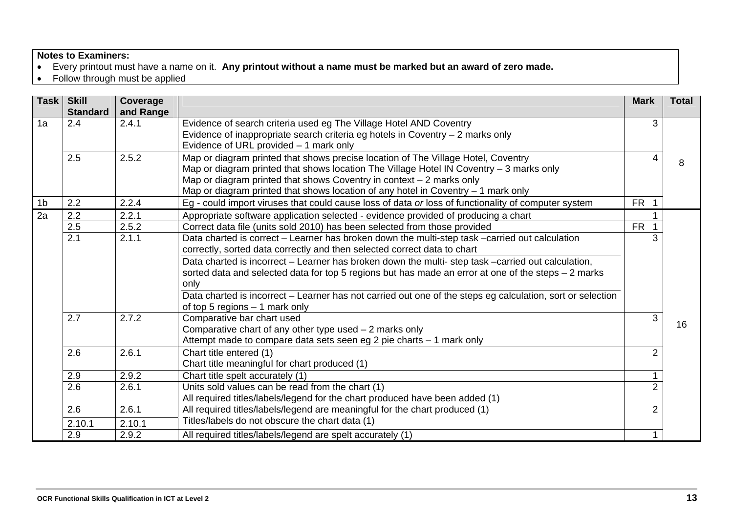#### **Notes to Examiners:**

- Every printout must have a name on it. **Any printout without a name must be marked but an award of zero made.**
- Follow through must be applied

| Task           | <b>Skill</b><br><b>Standard</b> | Coverage<br>and Range |                                                                                                                          | <b>Mark</b>    | <b>Total</b> |
|----------------|---------------------------------|-----------------------|--------------------------------------------------------------------------------------------------------------------------|----------------|--------------|
| 1a             | 2.4                             | 2.4.1                 | Evidence of search criteria used eg The Village Hotel AND Coventry                                                       | 3              |              |
|                |                                 |                       | Evidence of inappropriate search criteria eg hotels in Coventry - 2 marks only<br>Evidence of URL provided - 1 mark only |                |              |
|                | 2.5                             | 2.5.2                 | Map or diagram printed that shows precise location of The Village Hotel, Coventry                                        | 4              | 8            |
|                |                                 |                       | Map or diagram printed that shows location The Village Hotel IN Coventry - 3 marks only                                  |                |              |
|                |                                 |                       | Map or diagram printed that shows Coventry in context $-2$ marks only                                                    |                |              |
|                |                                 |                       | Map or diagram printed that shows location of any hotel in Coventry $-1$ mark only                                       |                |              |
| 1 <sub>b</sub> | 2.2                             | 2.2.4                 | Eg - could import viruses that could cause loss of data or loss of functionality of computer system                      | <b>FR</b>      |              |
| 2a             | 2.2                             | 2.2.1                 | Appropriate software application selected - evidence provided of producing a chart                                       |                |              |
|                | 2.5                             | 2.5.2                 | Correct data file (units sold 2010) has been selected from those provided                                                | <b>FR</b>      |              |
|                | $\overline{2.1}$                | 2.1.1                 | Data charted is correct - Learner has broken down the multi-step task -carried out calculation                           |                |              |
|                |                                 |                       | correctly, sorted data correctly and then selected correct data to chart                                                 |                |              |
|                |                                 |                       | Data charted is incorrect - Learner has broken down the multi-step task -carried out calculation,                        |                |              |
|                |                                 |                       | sorted data and selected data for top 5 regions but has made an error at one of the steps - 2 marks                      |                |              |
|                |                                 |                       | only                                                                                                                     |                |              |
|                |                                 |                       | Data charted is incorrect – Learner has not carried out one of the steps eg calculation, sort or selection               |                |              |
|                |                                 |                       | of top 5 regions - 1 mark only                                                                                           |                |              |
|                | 2.7                             | 2.7.2                 | Comparative bar chart used                                                                                               | 3              | 16           |
|                |                                 |                       | Comparative chart of any other type used $-2$ marks only                                                                 |                |              |
|                |                                 |                       | Attempt made to compare data sets seen eg 2 pie charts - 1 mark only                                                     |                |              |
|                | 2.6                             | 2.6.1                 | Chart title entered (1)                                                                                                  | 2              |              |
|                |                                 |                       | Chart title meaningful for chart produced (1)                                                                            |                |              |
|                | 2.9                             | 2.9.2                 | Chart title spelt accurately (1)                                                                                         |                |              |
|                | 2.6                             | 2.6.1                 | Units sold values can be read from the chart (1)                                                                         | $\overline{2}$ |              |
|                |                                 |                       | All required titles/labels/legend for the chart produced have been added (1)                                             |                |              |
|                | 2.6                             | 2.6.1                 | All required titles/labels/legend are meaningful for the chart produced (1)                                              | $\overline{2}$ |              |
|                | 2.10.1                          | 2.10.1                | Titles/labels do not obscure the chart data (1)                                                                          |                |              |
|                | 2.9                             | 2.9.2                 | All required titles/labels/legend are spelt accurately (1)                                                               |                |              |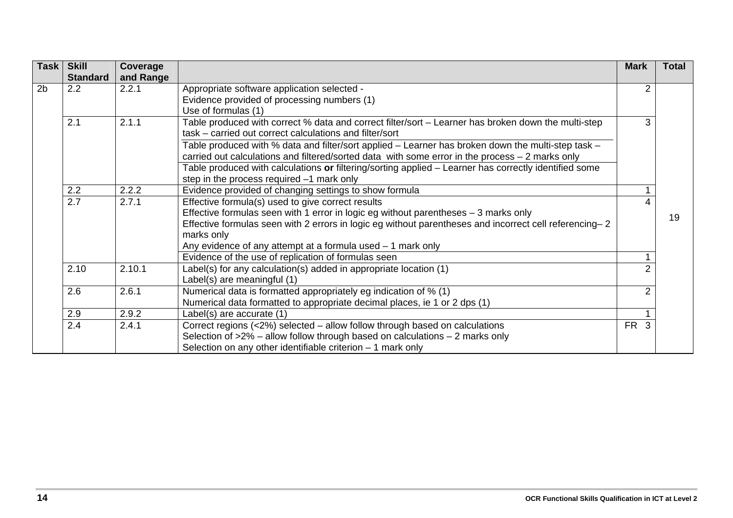| Task           | <b>Skill</b><br><b>Standard</b> | Coverage<br>and Range |                                                                                                                                                                                                        | <b>Mark</b>     | <b>Total</b> |
|----------------|---------------------------------|-----------------------|--------------------------------------------------------------------------------------------------------------------------------------------------------------------------------------------------------|-----------------|--------------|
| 2 <sub>b</sub> | 2.2                             | 2.2.1                 | Appropriate software application selected -                                                                                                                                                            | 2               |              |
|                |                                 |                       | Evidence provided of processing numbers (1)                                                                                                                                                            |                 |              |
|                |                                 |                       | Use of formulas (1)                                                                                                                                                                                    |                 |              |
|                | 2.1                             | 2.1.1                 | Table produced with correct % data and correct filter/sort - Learner has broken down the multi-step                                                                                                    | 3               |              |
|                |                                 |                       | task – carried out correct calculations and filter/sort                                                                                                                                                |                 |              |
|                |                                 |                       | Table produced with % data and filter/sort applied – Learner has broken down the multi-step task –<br>carried out calculations and filtered/sorted data with some error in the process $-2$ marks only |                 |              |
|                |                                 |                       | Table produced with calculations or filtering/sorting applied - Learner has correctly identified some                                                                                                  |                 |              |
|                |                                 |                       | step in the process required -1 mark only                                                                                                                                                              |                 |              |
|                | 2.2                             | 2.2.2                 | Evidence provided of changing settings to show formula                                                                                                                                                 |                 |              |
|                | 2.7                             | 2.7.1                 | Effective formula(s) used to give correct results                                                                                                                                                      |                 |              |
|                |                                 |                       | Effective formulas seen with 1 error in logic eg without parentheses - 3 marks only                                                                                                                    |                 | 19           |
|                |                                 |                       | Effective formulas seen with 2 errors in logic eg without parentheses and incorrect cell referencing–2                                                                                                 |                 |              |
|                |                                 |                       | marks only                                                                                                                                                                                             |                 |              |
|                |                                 |                       | Any evidence of any attempt at a formula used $-1$ mark only                                                                                                                                           |                 |              |
|                |                                 |                       | Evidence of the use of replication of formulas seen                                                                                                                                                    |                 |              |
|                | 2.10                            | 2.10.1                | Label(s) for any calculation(s) added in appropriate location (1)                                                                                                                                      |                 |              |
|                |                                 |                       | Label(s) are meaningful (1)                                                                                                                                                                            |                 |              |
|                | 2.6                             | 2.6.1                 | Numerical data is formatted appropriately eg indication of % (1)                                                                                                                                       | 2               |              |
|                |                                 |                       | Numerical data formatted to appropriate decimal places, ie 1 or 2 dps (1)                                                                                                                              |                 |              |
|                | 2.9                             | 2.9.2                 | Label(s) are accurate (1)                                                                                                                                                                              |                 |              |
|                | $\overline{2.4}$                | 2.4.1                 | Correct regions (<2%) selected – allow follow through based on calculations                                                                                                                            | FR <sub>3</sub> |              |
|                |                                 |                       | Selection of $>2\%$ – allow follow through based on calculations – 2 marks only                                                                                                                        |                 |              |
|                |                                 |                       | Selection on any other identifiable criterion - 1 mark only                                                                                                                                            |                 |              |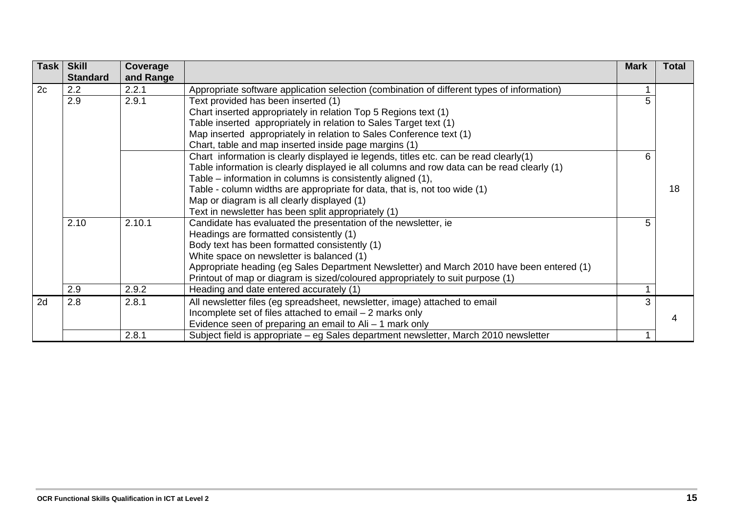| Task | <b>Skill</b>    | Coverage  |                                                                                            | <b>Mark</b> | <b>Total</b> |
|------|-----------------|-----------|--------------------------------------------------------------------------------------------|-------------|--------------|
|      | <b>Standard</b> | and Range |                                                                                            |             |              |
| 2c   | 2.2             | 2.2.1     | Appropriate software application selection (combination of different types of information) |             |              |
|      | 2.9             | 2.9.1     | Text provided has been inserted (1)                                                        |             |              |
|      |                 |           | Chart inserted appropriately in relation Top 5 Regions text (1)                            |             |              |
|      |                 |           | Table inserted appropriately in relation to Sales Target text (1)                          |             |              |
|      |                 |           | Map inserted appropriately in relation to Sales Conference text (1)                        |             |              |
|      |                 |           | Chart, table and map inserted inside page margins (1)                                      |             |              |
|      |                 |           | Chart information is clearly displayed ie legends, titles etc. can be read clearly(1)      | 6.          |              |
|      |                 |           | Table information is clearly displayed ie all columns and row data can be read clearly (1) |             |              |
|      |                 |           | Table – information in columns is consistently aligned (1),                                |             |              |
|      |                 |           | Table - column widths are appropriate for data, that is, not too wide (1)                  |             | 18           |
|      |                 |           | Map or diagram is all clearly displayed (1)                                                |             |              |
|      |                 |           | Text in newsletter has been split appropriately (1)                                        |             |              |
|      | 2.10            | 2.10.1    | Candidate has evaluated the presentation of the newsletter, ie                             | 5.          |              |
|      |                 |           | Headings are formatted consistently (1)                                                    |             |              |
|      |                 |           | Body text has been formatted consistently (1)                                              |             |              |
|      |                 |           | White space on newsletter is balanced (1)                                                  |             |              |
|      |                 |           | Appropriate heading (eg Sales Department Newsletter) and March 2010 have been entered (1)  |             |              |
|      |                 |           | Printout of map or diagram is sized/coloured appropriately to suit purpose (1)             |             |              |
|      | 2.9             | 2.9.2     | Heading and date entered accurately (1)                                                    |             |              |
| 2d   | 2.8             | 2.8.1     | All newsletter files (eg spreadsheet, newsletter, image) attached to email                 | 3           |              |
|      |                 |           | Incomplete set of files attached to email - 2 marks only                                   |             |              |
|      |                 |           | Evidence seen of preparing an email to $\mathsf{Ali} - 1$ mark only                        |             |              |
|      |                 | 2.8.1     | Subject field is appropriate – eg Sales department newsletter, March 2010 newsletter       |             |              |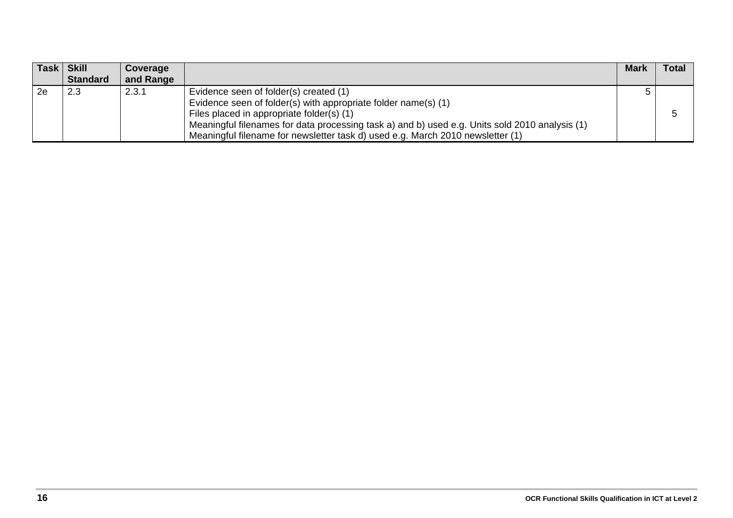| Task Skill      | Coverage  |                                                                                                | <b>Mark</b> | <b>Total</b> |
|-----------------|-----------|------------------------------------------------------------------------------------------------|-------------|--------------|
| <b>Standard</b> | and Range |                                                                                                |             |              |
| 2.3             | 2.3.1     | Evidence seen of folder(s) created (1)                                                         |             |              |
|                 |           | Evidence seen of folder(s) with appropriate folder name(s) (1)                                 |             |              |
|                 |           | Files placed in appropriate folder(s) (1)                                                      |             |              |
|                 |           | Meaningful filenames for data processing task a) and b) used e.g. Units sold 2010 analysis (1) |             |              |
|                 |           | Meaningful filename for newsletter task d) used e.g. March 2010 newsletter (1)                 |             |              |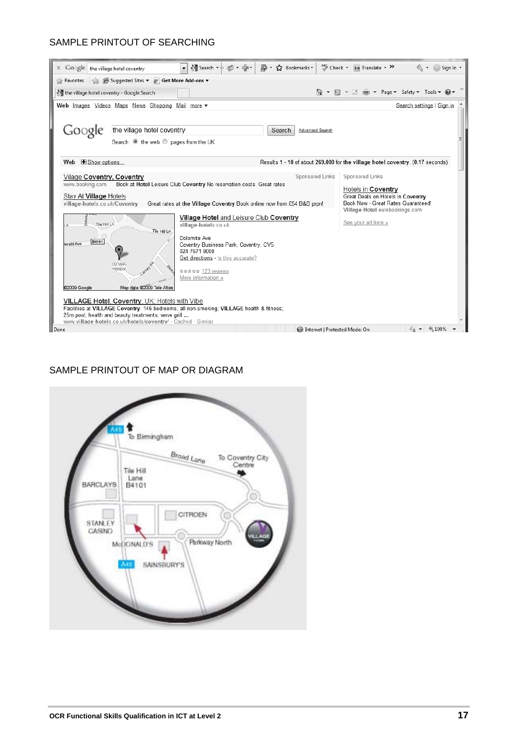#### SAMPLE PRINTOUT OF SEARCHING

| $\times$ Google the village hotel coventry              |                                                                                                                     | Visearch ・+ 品・中・                                                                         | F. Bookmarks<br>⊠ -       | ABS Check + aa Translate + >><br>Sign In +                                     |  |  |  |  |  |  |
|---------------------------------------------------------|---------------------------------------------------------------------------------------------------------------------|------------------------------------------------------------------------------------------|---------------------------|--------------------------------------------------------------------------------|--|--|--|--|--|--|
| Favorites                                               | Suggested Sites v @ Get More Add-ons v                                                                              |                                                                                          |                           |                                                                                |  |  |  |  |  |  |
| the village hotel coventry - Google Search              |                                                                                                                     |                                                                                          |                           |                                                                                |  |  |  |  |  |  |
|                                                         | Web Images Videos Maps News Shopping Mail more                                                                      |                                                                                          |                           | Search settings   Sign in                                                      |  |  |  |  |  |  |
|                                                         |                                                                                                                     |                                                                                          |                           |                                                                                |  |  |  |  |  |  |
| Google                                                  | the village hotel coventry                                                                                          |                                                                                          | Search<br>Advanced Search |                                                                                |  |  |  |  |  |  |
|                                                         | Search: O the web O pages from the UK                                                                               |                                                                                          |                           |                                                                                |  |  |  |  |  |  |
|                                                         |                                                                                                                     |                                                                                          |                           |                                                                                |  |  |  |  |  |  |
| Web E Show options                                      |                                                                                                                     |                                                                                          |                           | Results 1 - 10 of about 269,000 for the village hotel coventry. (0.17 seconds) |  |  |  |  |  |  |
| Vilage Coventry, Coventry                               |                                                                                                                     |                                                                                          | Sponsored Links           | Sponsored Links                                                                |  |  |  |  |  |  |
| www.booking.com                                         |                                                                                                                     | Book at Hotel Leisure Club Coventry No reservation costs. Great rates                    |                           | Hotels in Coventry                                                             |  |  |  |  |  |  |
| Stay At Village Hotels<br>village-hotels.co.uk/Coventry |                                                                                                                     | Great rates at the Village Coventry Book online now from £54 B&B prpn!                   |                           | Great Deals on Hotels in Coventry.<br>Book Now - Great Rates Guaranteed!       |  |  |  |  |  |  |
|                                                         |                                                                                                                     |                                                                                          |                           | Village-Hotel.eurobookings.com                                                 |  |  |  |  |  |  |
| Tile Hill Ln                                            |                                                                                                                     | Village Hotel and Leisure Club Coventry<br>village-hotels.co.uk                          |                           | See your ad here »                                                             |  |  |  |  |  |  |
|                                                         | Tile Hill Ln                                                                                                        |                                                                                          |                           |                                                                                |  |  |  |  |  |  |
| B4101<br>lerald Ave                                     |                                                                                                                     | Dolomite Ave<br>Coventry Business Park, Coventry, CV5                                    |                           |                                                                                |  |  |  |  |  |  |
|                                                         |                                                                                                                     | 024 7671 9000<br>Get directions - Is this accurate?                                      |                           |                                                                                |  |  |  |  |  |  |
|                                                         | O2 WiFi                                                                                                             |                                                                                          |                           |                                                                                |  |  |  |  |  |  |
|                                                         | Hotspot                                                                                                             | ☆☆☆☆☆ 123 reviews<br>More information »                                                  |                           |                                                                                |  |  |  |  |  |  |
| @2009 Google                                            | Map data @2009 Tele Atlas                                                                                           |                                                                                          |                           |                                                                                |  |  |  |  |  |  |
|                                                         | <b>VILLAGE Hotel, Coventry, UK: Hotels with Vibe</b>                                                                |                                                                                          |                           |                                                                                |  |  |  |  |  |  |
|                                                         |                                                                                                                     | Facilities at VILLAGE Coventry. 146 bedrooms, all non-smoking; VILLAGE health & fitness; |                           |                                                                                |  |  |  |  |  |  |
|                                                         | 25m pool; health and beauty treatments; verve grill<br>www.village-hotels.co.uk/hotels/coventry/ - Cached - Similar |                                                                                          |                           |                                                                                |  |  |  |  |  |  |
| Done                                                    |                                                                                                                     |                                                                                          |                           | 图 100%<br>Internet   Protected Mode: On                                        |  |  |  |  |  |  |
|                                                         |                                                                                                                     |                                                                                          |                           |                                                                                |  |  |  |  |  |  |

#### SAMPLE PRINTOUT OF MAP OR DIAGRAM

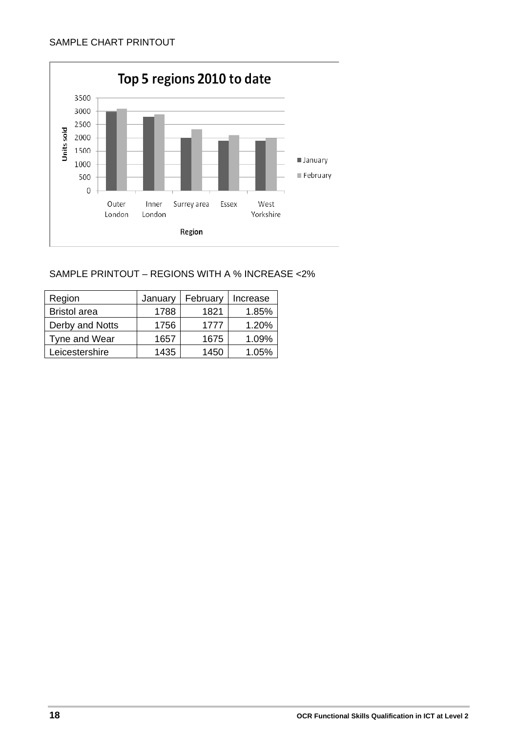

#### SAMPLE PRINTOUT – REGIONS WITH A % INCREASE <2%

| Region              | January | February | Increase |
|---------------------|---------|----------|----------|
| <b>Bristol</b> area | 1788    | 1821     | 1.85%    |
| Derby and Notts     | 1756    | 1777     | 1.20%    |
| Tyne and Wear       | 1657    | 1675     | 1.09%    |
| Leicestershire      | 1435    | 1450     | 1.05%    |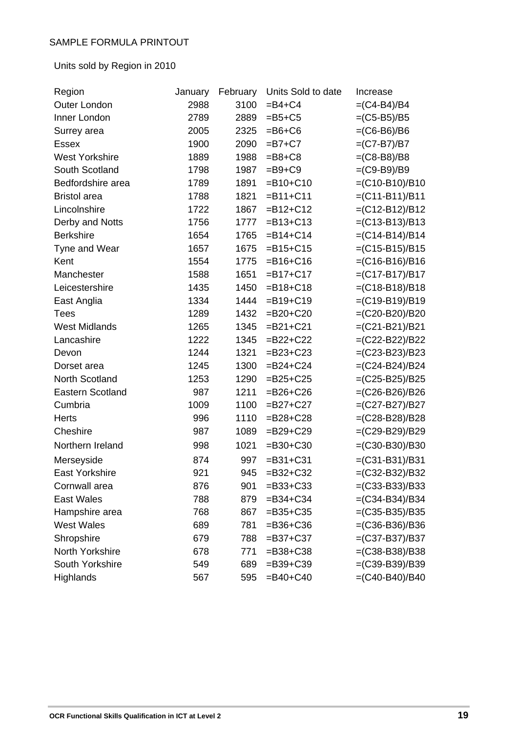Units sold by Region in 2010

| Region                  | January | February | Units Sold to date | Increase         |
|-------------------------|---------|----------|--------------------|------------------|
| <b>Outer London</b>     | 2988    | 3100     | $=B4+C4$           | $=(C4-B4)/B4$    |
| Inner London            | 2789    | 2889     | $=B5+C5$           | $=(C5-B5)/B5$    |
| Surrey area             | 2005    | 2325     | $=$ B6+C6          | $=(C6 - B6)/B6$  |
| <b>Essex</b>            | 1900    | 2090     | $=B7+C7$           | $=(C7-B7)/B7$    |
| <b>West Yorkshire</b>   | 1889    | 1988     | $=$ B8+C8          | $=(C8-B8)/B8$    |
| South Scotland          | 1798    | 1987     | $=$ B9+C9          | $=(C9-B9)/B9$    |
| Bedfordshire area       | 1789    | 1891     | $= B10 + C10$      | $=(C10-B10)/B10$ |
| <b>Bristol</b> area     | 1788    | 1821     | $= B11 + C11$      | $=(C11-B11)/B11$ |
| Lincolnshire            | 1722    | 1867     | $= B12 + C12$      | $=(C12-B12)/B12$ |
| Derby and Notts         | 1756    | 1777     | $= B13 + C13$      | $=(C13-B13)/B13$ |
| <b>Berkshire</b>        | 1654    | 1765     | $= B14 + C14$      | $=(C14-B14)/B14$ |
| Tyne and Wear           | 1657    | 1675     | $= B15 + C15$      | $=(C15-B15)/B15$ |
| Kent                    | 1554    | 1775     | $= B16 + C16$      | $=(C16-B16)/B16$ |
| Manchester              | 1588    | 1651     | $= B17 + C17$      | $=(C17-B17)/B17$ |
| Leicestershire          | 1435    | 1450     | $= B18 + C18$      | $=(C18-B18)/B18$ |
| East Anglia             | 1334    | 1444     | $= B19 + C19$      | $=(C19-B19)/B19$ |
| <b>Tees</b>             | 1289    | 1432     | $= B20 + C20$      | =(C20-B20)/B20   |
| <b>West Midlands</b>    | 1265    | 1345     | $= B21 + C21$      | $=(C21-B21)/B21$ |
| Lancashire              | 1222    | 1345     | $=B22+C22$         | =(C22-B22)/B22   |
| Devon                   | 1244    | 1321     | $=B23+C23$         | $=(C23-B23)/B23$ |
| Dorset area             | 1245    | 1300     | $=B24+C24$         | $=(C24-B24)/B24$ |
| North Scotland          | 1253    | 1290     | $=B25+C25$         | $=(C25-B25)/B25$ |
| <b>Eastern Scotland</b> | 987     | 1211     | $= B26 + C26$      | =(C26-B26)/B26   |
| Cumbria                 | 1009    | 1100     | $=B27+C27$         | =(C27-B27)/B27   |
| <b>Herts</b>            | 996     | 1110     | $=B28+C28$         | $=(C28-B28)/B28$ |
| Cheshire                | 987     | 1089     | $=B29+C29$         | =(C29-B29)/B29   |
| Northern Ireland        | 998     | 1021     | $= B30 + C30$      | $=(C30-B30)/B30$ |
| Merseyside              | 874     | 997      | $= B31 + C31$      | $=(C31-B31)/B31$ |
| East Yorkshire          | 921     | 945      | $= B32 + C32$      | $=(C32-B32)/B32$ |
| Cornwall area           | 876     | 901      | $= B33 + C33$      | $=(C33-B33)/B33$ |
| <b>East Wales</b>       | 788     | 879      | $= B34 + C34$      | $=(C34-B34)/B34$ |
| Hampshire area          | 768     | 867      | $= B35 + C35$      | $=(C35-B35)/B35$ |
| <b>West Wales</b>       | 689     | 781      | $= B36 + C36$      | $=(C36-B36)/B36$ |
| Shropshire              | 679     | 788      | $= B37 + C37$      | $=(C37-B37)/B37$ |
| North Yorkshire         | 678     | 771      | $= B38 + C38$      | $=(C38-B38)/B38$ |
| South Yorkshire         | 549     | 689      | $= B39 + C39$      | $=(C39-B39)/B39$ |
| Highlands               | 567     | 595      | $=$ B40+C40        | $=(C40-B40)/B40$ |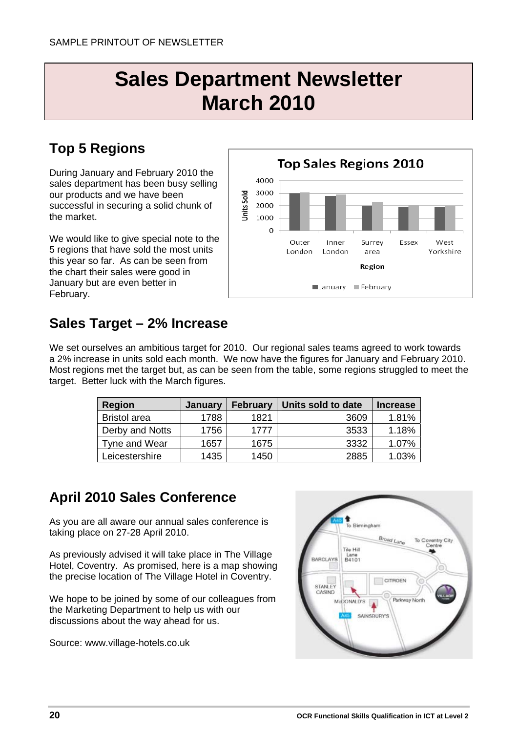## **Sales Department Newsletter March 2010**

## **Top 5 Regions**

During January and February 2010 the sales department has been busy selling our products and we have been successful in securing a solid chunk of the market.

We would like to give special note to the 5 regions that have sold the most units this year so far. As can be seen from the chart their sales were good in January but are even better in February.



### **Sales Target – 2% Increase**

We set ourselves an ambitious target for 2010. Our regional sales teams agreed to work towards a 2% increase in units sold each month. We now have the figures for January and February 2010. Most regions met the target but, as can be seen from the table, some regions struggled to meet the target. Better luck with the March figures.

| <b>Region</b>       | January | <b>February</b> | Units sold to date | <b>Increase</b> |
|---------------------|---------|-----------------|--------------------|-----------------|
| <b>Bristol</b> area | 1788    | 1821            | 3609               | 1.81%           |
| Derby and Notts     | 1756    | 1777            | 3533               | 1.18%           |
| Tyne and Wear       | 1657    | 1675            | 3332               | 1.07%           |
| Leicestershire      | 1435    | 1450            | 2885               | 1.03%           |

### **April 2010 Sales Conference**

As you are all aware our annual sales conference is taking place on 27-28 April 2010.

As previously advised it will take place in The Village Hotel, Coventry. As promised, here is a map showing the precise location of The Village Hotel in Coventry.

We hope to be joined by some of our colleagues from the Marketing Department to help us with our discussions about the way ahead for us.

Source: www.village-hotels.co.uk

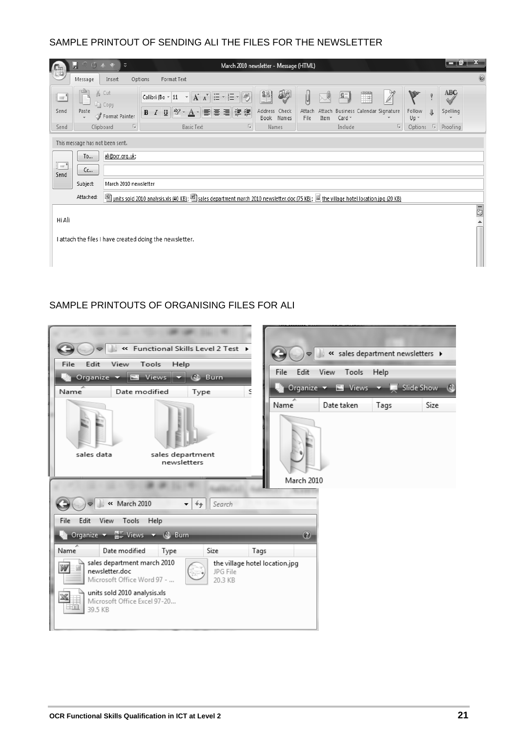#### SAMPLE PRINTOUT OF SENDING ALI THE FILES FOR THE NEWSLETTER

| $\Box$                                             | 0(5)<br>ы                                               | $\bar{\triangledown}$ |                                                                                                                                           |               | March 2010 newsletter - Message (HTML) |                                  |                     |                                                                                        |                | لو ہے         |                  |
|----------------------------------------------------|---------------------------------------------------------|-----------------------|-------------------------------------------------------------------------------------------------------------------------------------------|---------------|----------------------------------------|----------------------------------|---------------------|----------------------------------------------------------------------------------------|----------------|---------------|------------------|
|                                                    | Message                                                 | Insert                | Format Text<br>Options                                                                                                                    |               |                                        |                                  |                     |                                                                                        |                |               | 0                |
| $\equiv$                                           | ٠                                                       | % Cut<br>la Copy      | Calibri (Bo ~ 11<br>$\overline{\mathbf{v}}$                                                                                               | A A 三 · 三 · 图 | 88<br>89                               | y                                | 퇴<br>ń              | $\overline{Z}$<br>$\begin{tabular}{ c c } \hline 22222 \\ \hline \hline \end{tabular}$ | W              | ABÇ<br>۵      |                  |
| Send                                               | Paste<br>$\overline{\mathbf{v}}$                        | Format Painter        | $\frac{ab}{2}$ -<br>$\underline{\mathtt{U}}$<br>B<br>$\overline{I}$<br>$\mathbf{A}$                                                       | 相野 春 道 健健     | Address<br>Check<br>Book Names         | Attach<br>Attach<br>Item<br>File | Card $\overline{ }$ | Business Calendar Signature                                                            | Follow<br>Up + | Spelling<br>J |                  |
| Send                                               |                                                         | 局<br>Clipboard        | <b>Basic Text</b>                                                                                                                         | 同             | Names                                  |                                  | Include             | 匠                                                                                      | Options        | 厅<br>Proofing |                  |
|                                                    | This message has not been sent.                         |                       |                                                                                                                                           |               |                                        |                                  |                     |                                                                                        |                |               |                  |
|                                                    | To                                                      | ali@ocr.org.uk;       |                                                                                                                                           |               |                                        |                                  |                     |                                                                                        |                |               |                  |
| $\overline{\underline{1}} = \underline{1}$<br>Send | $cc$                                                    |                       |                                                                                                                                           |               |                                        |                                  |                     |                                                                                        |                |               |                  |
|                                                    | Subject:                                                | March 2010 newsletter |                                                                                                                                           |               |                                        |                                  |                     |                                                                                        |                |               |                  |
|                                                    | Attached:                                               |                       | units sold 2010 analysis.xls (40 KB); [20] sales department march 2010 newsletter.doc (75 KB); [3] the village hotel location.jpg (20 KB) |               |                                        |                                  |                     |                                                                                        |                |               |                  |
|                                                    |                                                         |                       |                                                                                                                                           |               |                                        |                                  |                     |                                                                                        |                |               | 5                |
| Hi Ali                                             |                                                         |                       |                                                                                                                                           |               |                                        |                                  |                     |                                                                                        |                |               | $\blacktriangle$ |
|                                                    |                                                         |                       |                                                                                                                                           |               |                                        |                                  |                     |                                                                                        |                |               |                  |
|                                                    | I attach the files I have created doing the newsletter. |                       |                                                                                                                                           |               |                                        |                                  |                     |                                                                                        |                |               |                  |
|                                                    |                                                         |                       |                                                                                                                                           |               |                                        |                                  |                     |                                                                                        |                |               |                  |

#### SAMPLE PRINTOUTS OF ORGANISING FILES FOR ALI

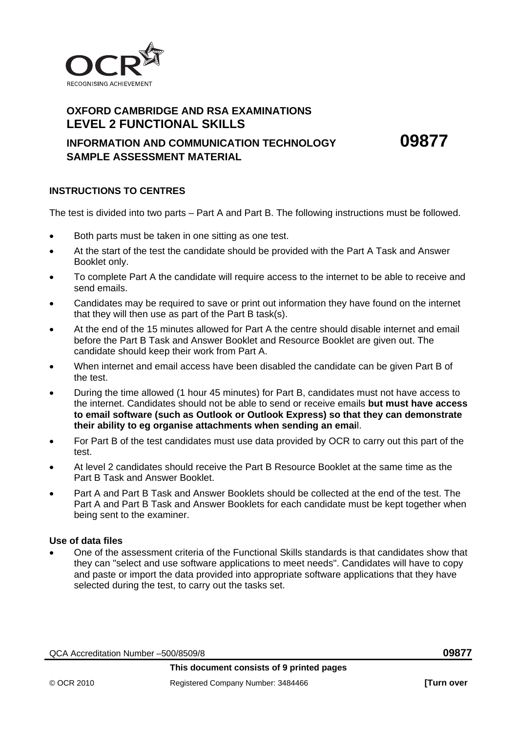

#### **OXFORD CAMBRIDGE AND RSA EXAMINATIONS LEVEL 2 FUNCTIONAL SKILLS**

#### **INFORMATION AND COMMUNICATION TECHNOLOGY 09877 SAMPLE ASSESSMENT MATERIAL**

#### **INSTRUCTIONS TO CENTRES**

The test is divided into two parts – Part A and Part B. The following instructions must be followed.

- Both parts must be taken in one sitting as one test.
- At the start of the test the candidate should be provided with the Part A Task and Answer Booklet only.
- To complete Part A the candidate will require access to the internet to be able to receive and send emails.
- Candidates may be required to save or print out information they have found on the internet that they will then use as part of the Part B task(s).
- At the end of the 15 minutes allowed for Part A the centre should disable internet and email before the Part B Task and Answer Booklet and Resource Booklet are given out. The candidate should keep their work from Part A.
- When internet and email access have been disabled the candidate can be given Part B of the test.
- During the time allowed (1 hour 45 minutes) for Part B, candidates must not have access to the internet. Candidates should not be able to send or receive emails **but must have access to email software (such as Outlook or Outlook Express) so that they can demonstrate their ability to eg organise attachments when sending an emai**l.
- For Part B of the test candidates must use data provided by OCR to carry out this part of the test.
- At level 2 candidates should receive the Part B Resource Booklet at the same time as the Part B Task and Answer Booklet.
- Part A and Part B Task and Answer Booklets should be collected at the end of the test. The Part A and Part B Task and Answer Booklets for each candidate must be kept together when being sent to the examiner.

#### **Use of data files**

 One of the assessment criteria of the Functional Skills standards is that candidates show that they can "select and use software applications to meet needs". Candidates will have to copy and paste or import the data provided into appropriate software applications that they have selected during the test, to carry out the tasks set.

QCA Accreditation Number –500/8509/8 **09877**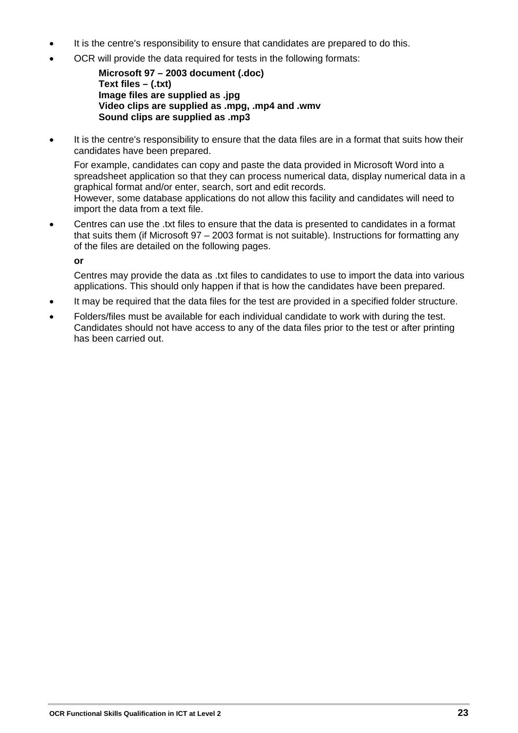- It is the centre's responsibility to ensure that candidates are prepared to do this.
- OCR will provide the data required for tests in the following formats:

**Microsoft 97 – 2003 document (.doc) Text files – (.txt) Image files are supplied as .jpg Video clips are supplied as .mpg, .mp4 and .wmv Sound clips are supplied as .mp3** 

 It is the centre's responsibility to ensure that the data files are in a format that suits how their candidates have been prepared.

 For example, candidates can copy and paste the data provided in Microsoft Word into a spreadsheet application so that they can process numerical data, display numerical data in a graphical format and/or enter, search, sort and edit records. However, some database applications do not allow this facility and candidates will need to import the data from a text file.

 Centres can use the .txt files to ensure that the data is presented to candidates in a format that suits them (if Microsoft 97 – 2003 format is not suitable). Instructions for formatting any of the files are detailed on the following pages.

 **or**

 Centres may provide the data as .txt files to candidates to use to import the data into various applications. This should only happen if that is how the candidates have been prepared.

- It may be required that the data files for the test are provided in a specified folder structure.
- Folders/files must be available for each individual candidate to work with during the test. Candidates should not have access to any of the data files prior to the test or after printing has been carried out.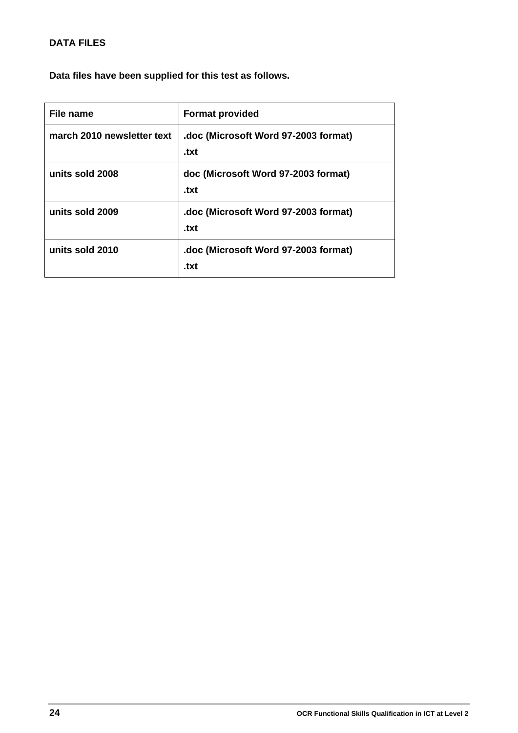#### **DATA FILES**

**Data files have been supplied for this test as follows.** 

| File name                  | <b>Format provided</b>                       |
|----------------------------|----------------------------------------------|
| march 2010 newsletter text | .doc (Microsoft Word 97-2003 format)<br>.txt |
| units sold 2008            | doc (Microsoft Word 97-2003 format)<br>.txt  |
| units sold 2009            | .doc (Microsoft Word 97-2003 format)<br>.txt |
| units sold 2010            | .doc (Microsoft Word 97-2003 format)<br>.txt |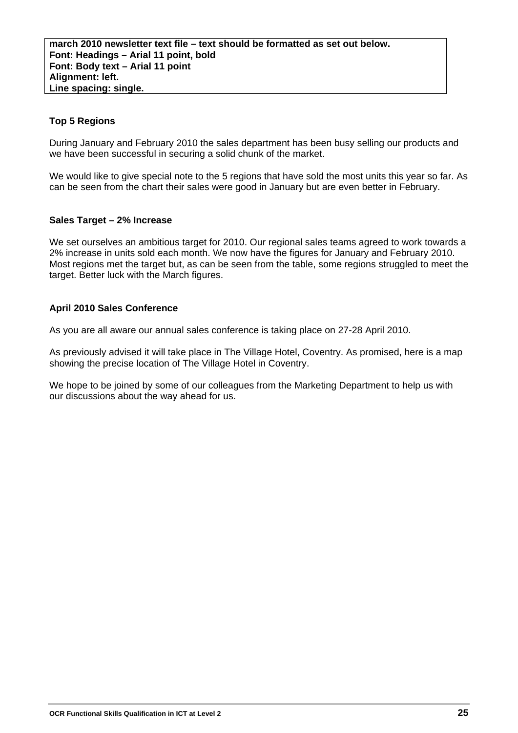#### **Top 5 Regions**

During January and February 2010 the sales department has been busy selling our products and we have been successful in securing a solid chunk of the market.

We would like to give special note to the 5 regions that have sold the most units this year so far. As can be seen from the chart their sales were good in January but are even better in February.

#### **Sales Target – 2% Increase**

We set ourselves an ambitious target for 2010. Our regional sales teams agreed to work towards a 2% increase in units sold each month. We now have the figures for January and February 2010. Most regions met the target but, as can be seen from the table, some regions struggled to meet the target. Better luck with the March figures.

#### **April 2010 Sales Conference**

As you are all aware our annual sales conference is taking place on 27-28 April 2010.

As previously advised it will take place in The Village Hotel, Coventry. As promised, here is a map showing the precise location of The Village Hotel in Coventry.

We hope to be joined by some of our colleagues from the Marketing Department to help us with our discussions about the way ahead for us.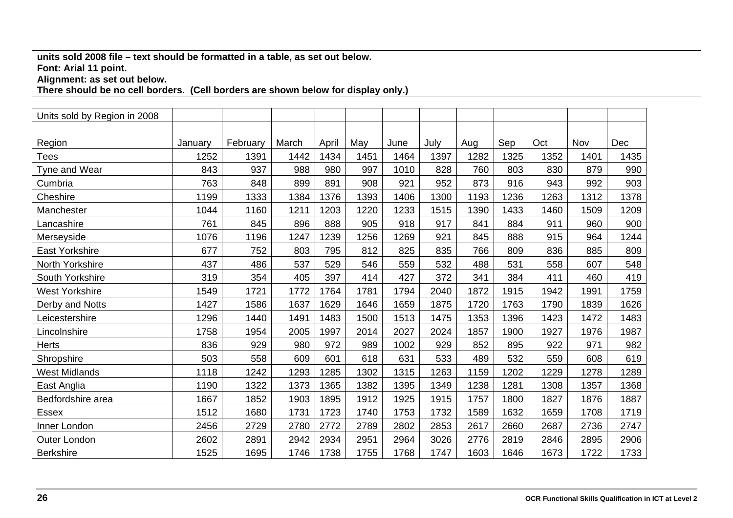#### **units sold 2008 file – text should be formatted in a table, as set out below. Font: Arial 11 point.**

**Alignment: as set out below.** 

**There should be no cell borders. (Cell borders are shown below for display only.)** 

| Units sold by Region in 2008 |         |          |       |       |      |      |      |      |      |      |      |      |
|------------------------------|---------|----------|-------|-------|------|------|------|------|------|------|------|------|
|                              |         |          |       |       |      |      |      |      |      |      |      |      |
| Region                       | January | February | March | April | May  | June | July | Aug  | Sep  | Oct  | Nov  | Dec  |
| <b>Tees</b>                  | 1252    | 1391     | 1442  | 1434  | 1451 | 1464 | 1397 | 1282 | 1325 | 1352 | 1401 | 1435 |
| Tyne and Wear                | 843     | 937      | 988   | 980   | 997  | 1010 | 828  | 760  | 803  | 830  | 879  | 990  |
| Cumbria                      | 763     | 848      | 899   | 891   | 908  | 921  | 952  | 873  | 916  | 943  | 992  | 903  |
| Cheshire                     | 1199    | 1333     | 1384  | 1376  | 1393 | 1406 | 1300 | 1193 | 1236 | 1263 | 1312 | 1378 |
| Manchester                   | 1044    | 1160     | 1211  | 1203  | 1220 | 1233 | 1515 | 1390 | 1433 | 1460 | 1509 | 1209 |
| Lancashire                   | 761     | 845      | 896   | 888   | 905  | 918  | 917  | 841  | 884  | 911  | 960  | 900  |
| Merseyside                   | 1076    | 1196     | 1247  | 1239  | 1256 | 1269 | 921  | 845  | 888  | 915  | 964  | 1244 |
| <b>East Yorkshire</b>        | 677     | 752      | 803   | 795   | 812  | 825  | 835  | 766  | 809  | 836  | 885  | 809  |
| North Yorkshire              | 437     | 486      | 537   | 529   | 546  | 559  | 532  | 488  | 531  | 558  | 607  | 548  |
| South Yorkshire              | 319     | 354      | 405   | 397   | 414  | 427  | 372  | 341  | 384  | 411  | 460  | 419  |
| <b>West Yorkshire</b>        | 1549    | 1721     | 1772  | 1764  | 1781 | 1794 | 2040 | 1872 | 1915 | 1942 | 1991 | 1759 |
| Derby and Notts              | 1427    | 1586     | 1637  | 1629  | 1646 | 1659 | 1875 | 1720 | 1763 | 1790 | 1839 | 1626 |
| Leicestershire               | 1296    | 1440     | 1491  | 1483  | 1500 | 1513 | 1475 | 1353 | 1396 | 1423 | 1472 | 1483 |
| Lincolnshire                 | 1758    | 1954     | 2005  | 1997  | 2014 | 2027 | 2024 | 1857 | 1900 | 1927 | 1976 | 1987 |
| <b>Herts</b>                 | 836     | 929      | 980   | 972   | 989  | 1002 | 929  | 852  | 895  | 922  | 971  | 982  |
| Shropshire                   | 503     | 558      | 609   | 601   | 618  | 631  | 533  | 489  | 532  | 559  | 608  | 619  |
| <b>West Midlands</b>         | 1118    | 1242     | 1293  | 1285  | 1302 | 1315 | 1263 | 1159 | 1202 | 1229 | 1278 | 1289 |
| East Anglia                  | 1190    | 1322     | 1373  | 1365  | 1382 | 1395 | 1349 | 1238 | 1281 | 1308 | 1357 | 1368 |
| Bedfordshire area            | 1667    | 1852     | 1903  | 1895  | 1912 | 1925 | 1915 | 1757 | 1800 | 1827 | 1876 | 1887 |
| Essex                        | 1512    | 1680     | 1731  | 1723  | 1740 | 1753 | 1732 | 1589 | 1632 | 1659 | 1708 | 1719 |
| Inner London                 | 2456    | 2729     | 2780  | 2772  | 2789 | 2802 | 2853 | 2617 | 2660 | 2687 | 2736 | 2747 |
| Outer London                 | 2602    | 2891     | 2942  | 2934  | 2951 | 2964 | 3026 | 2776 | 2819 | 2846 | 2895 | 2906 |
| <b>Berkshire</b>             | 1525    | 1695     | 1746  | 1738  | 1755 | 1768 | 1747 | 1603 | 1646 | 1673 | 1722 | 1733 |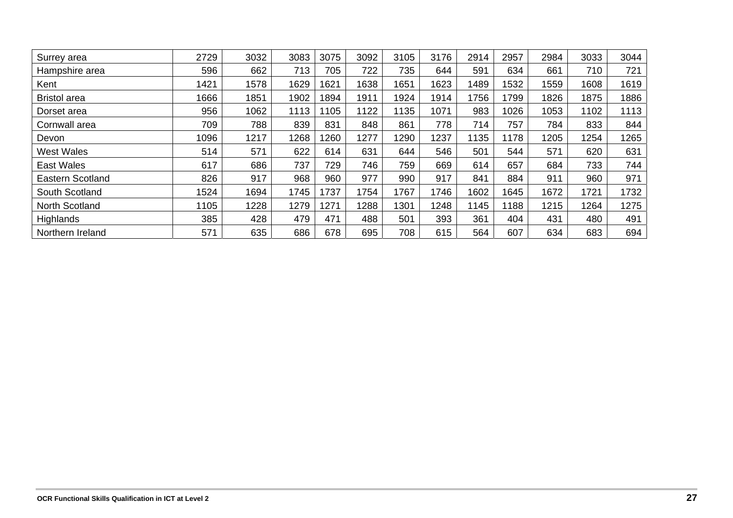| Surrey area             | 2729 | 3032 | 3083 | 3075 | 3092 | 3105 | 3176 | 2914 | 2957 | 2984 | 3033 | 3044 |
|-------------------------|------|------|------|------|------|------|------|------|------|------|------|------|
| Hampshire area          | 596  | 662  | 713  | 705  | 722  | 735  | 644  | 591  | 634  | 661  | 710  | 721  |
| Kent                    | 1421 | 1578 | 1629 | 1621 | 1638 | 1651 | 1623 | 1489 | 1532 | 1559 | 1608 | 1619 |
| <b>Bristol</b> area     | 1666 | 1851 | 1902 | 1894 | 1911 | 1924 | 1914 | 756  | 1799 | 1826 | 1875 | 1886 |
| Dorset area             | 956  | 1062 | 1113 | 105  | 1122 | 1135 | 1071 | 983  | 1026 | 1053 | 1102 | 1113 |
| Cornwall area           | 709  | 788  | 839  | 831  | 848  | 861  | 778  | 714  | 757  | 784  | 833  | 844  |
| Devon                   | 1096 | 1217 | 1268 | 260  | 1277 | 1290 | 1237 | 135  | 1178 | 1205 | 1254 | 1265 |
| <b>West Wales</b>       | 514  | 571  | 622  | 614  | 631  | 644  | 546  | 501  | 544  | 571  | 620  | 631  |
| East Wales              | 617  | 686  | 737  | 729  | 746  | 759  | 669  | 614  | 657  | 684  | 733  | 744  |
| <b>Eastern Scotland</b> | 826  | 917  | 968  | 960  | 977  | 990  | 917  | 841  | 884  | 911  | 960  | 971  |
| South Scotland          | 1524 | 1694 | 1745 | 737  | 1754 | 767  | 746  | 1602 | 1645 | 1672 | 1721 | 1732 |
| North Scotland          | 1105 | 1228 | 1279 | 1271 | 1288 | 1301 | 1248 | 145  | 1188 | 1215 | 1264 | 1275 |
| Highlands               | 385  | 428  | 479  | 471  | 488  | 501  | 393  | 361  | 404  | 431  | 480  | 491  |
| Northern Ireland        | 571  | 635  | 686  | 678  | 695  | 708  | 615  | 564  | 607  | 634  | 683  | 694  |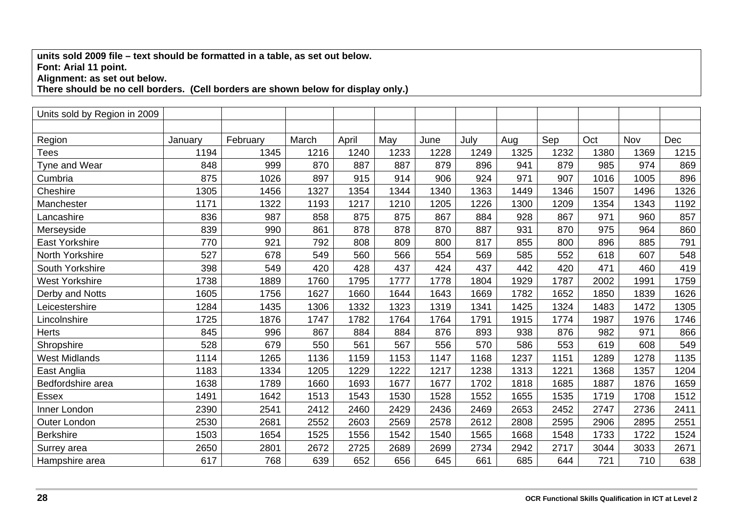#### **units sold 2009 file – text should be formatted in a table, as set out below. Font: Arial 11 point.**

**Alignment: as set out below.** 

**There should be no cell borders. (Cell borders are shown below for display only.)** 

| Units sold by Region in 2009 |         |          |       |       |      |      |      |      |      |      |      |      |
|------------------------------|---------|----------|-------|-------|------|------|------|------|------|------|------|------|
|                              |         |          |       |       |      |      |      |      |      |      |      |      |
| Region                       | January | February | March | April | May  | June | July | Aug  | Sep  | Oct  | Nov  | Dec  |
| <b>Tees</b>                  | 1194    | 1345     | 1216  | 1240  | 1233 | 1228 | 1249 | 1325 | 1232 | 1380 | 1369 | 1215 |
| Tyne and Wear                | 848     | 999      | 870   | 887   | 887  | 879  | 896  | 941  | 879  | 985  | 974  | 869  |
| Cumbria                      | 875     | 1026     | 897   | 915   | 914  | 906  | 924  | 971  | 907  | 1016 | 1005 | 896  |
| Cheshire                     | 1305    | 1456     | 1327  | 1354  | 1344 | 1340 | 1363 | 1449 | 1346 | 1507 | 1496 | 1326 |
| Manchester                   | 1171    | 1322     | 1193  | 1217  | 1210 | 1205 | 1226 | 1300 | 1209 | 1354 | 1343 | 1192 |
| Lancashire                   | 836     | 987      | 858   | 875   | 875  | 867  | 884  | 928  | 867  | 971  | 960  | 857  |
| Merseyside                   | 839     | 990      | 861   | 878   | 878  | 870  | 887  | 931  | 870  | 975  | 964  | 860  |
| <b>East Yorkshire</b>        | 770     | 921      | 792   | 808   | 809  | 800  | 817  | 855  | 800  | 896  | 885  | 791  |
| North Yorkshire              | 527     | 678      | 549   | 560   | 566  | 554  | 569  | 585  | 552  | 618  | 607  | 548  |
| South Yorkshire              | 398     | 549      | 420   | 428   | 437  | 424  | 437  | 442  | 420  | 471  | 460  | 419  |
| <b>West Yorkshire</b>        | 1738    | 1889     | 1760  | 1795  | 1777 | 1778 | 1804 | 1929 | 1787 | 2002 | 1991 | 1759 |
| Derby and Notts              | 1605    | 1756     | 1627  | 1660  | 1644 | 1643 | 1669 | 1782 | 1652 | 1850 | 1839 | 1626 |
| Leicestershire               | 1284    | 1435     | 1306  | 1332  | 1323 | 1319 | 1341 | 1425 | 1324 | 1483 | 1472 | 1305 |
| Lincolnshire                 | 1725    | 1876     | 1747  | 1782  | 1764 | 1764 | 1791 | 1915 | 1774 | 1987 | 1976 | 1746 |
| <b>Herts</b>                 | 845     | 996      | 867   | 884   | 884  | 876  | 893  | 938  | 876  | 982  | 971  | 866  |
| Shropshire                   | 528     | 679      | 550   | 561   | 567  | 556  | 570  | 586  | 553  | 619  | 608  | 549  |
| <b>West Midlands</b>         | 1114    | 1265     | 1136  | 1159  | 1153 | 1147 | 1168 | 1237 | 1151 | 1289 | 1278 | 1135 |
| East Anglia                  | 1183    | 1334     | 1205  | 1229  | 1222 | 1217 | 1238 | 1313 | 1221 | 1368 | 1357 | 1204 |
| Bedfordshire area            | 1638    | 1789     | 1660  | 1693  | 1677 | 1677 | 1702 | 1818 | 1685 | 1887 | 1876 | 1659 |
| Essex                        | 1491    | 1642     | 1513  | 1543  | 1530 | 1528 | 1552 | 1655 | 1535 | 1719 | 1708 | 1512 |
| Inner London                 | 2390    | 2541     | 2412  | 2460  | 2429 | 2436 | 2469 | 2653 | 2452 | 2747 | 2736 | 2411 |
| <b>Outer London</b>          | 2530    | 2681     | 2552  | 2603  | 2569 | 2578 | 2612 | 2808 | 2595 | 2906 | 2895 | 2551 |
| <b>Berkshire</b>             | 1503    | 1654     | 1525  | 1556  | 1542 | 1540 | 1565 | 1668 | 1548 | 1733 | 1722 | 1524 |
| Surrey area                  | 2650    | 2801     | 2672  | 2725  | 2689 | 2699 | 2734 | 2942 | 2717 | 3044 | 3033 | 2671 |
| Hampshire area               | 617     | 768      | 639   | 652   | 656  | 645  | 661  | 685  | 644  | 721  | 710  | 638  |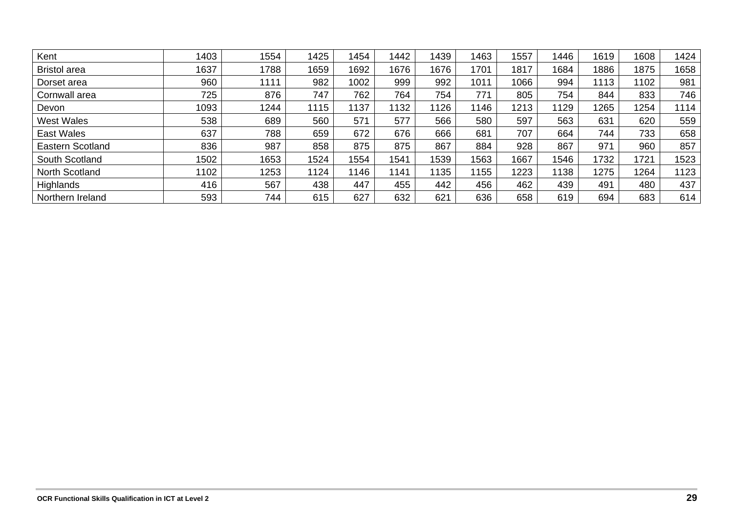| Kent                    | 1403 | 1554 | 1425 | 1454 | 1442 | 1439 | 1463 | 1557 | 1446 | 1619 | 1608 | 1424 |
|-------------------------|------|------|------|------|------|------|------|------|------|------|------|------|
| <b>Bristol</b> area     | 1637 | 1788 | 1659 | 1692 | 1676 | 1676 | 1701 | 1817 | 1684 | 1886 | 1875 | 1658 |
| Dorset area             | 960  | 1111 | 982  | 1002 | 999  | 992  | 1011 | 1066 | 994  | 1113 | 1102 | 981  |
| Cornwall area           | 725  | 876  | 747  | 762  | 764  | 754  | 771  | 805  | 754  | 844  | 833  | 746  |
| Devon                   | 1093 | 1244 | 1115 | 1137 | 1132 | 126  | 146  | 1213 | 1129 | 1265 | 1254 | 1114 |
| <b>West Wales</b>       | 538  | 689  | 560  | 571  | 577  | 566  | 580  | 597  | 563  | 631  | 620  | 559  |
| East Wales              | 637  | 788  | 659  | 672  | 676  | 666  | 681  | 707  | 664  | 744  | 733  | 658  |
| <b>Eastern Scotland</b> | 836  | 987  | 858  | 875  | 875  | 867  | 884  | 928  | 867  | 971  | 960  | 857  |
| South Scotland          | 1502 | 1653 | 1524 | 1554 | 1541 | 1539 | 1563 | 1667 | 1546 | 1732 | 1721 | 1523 |
| North Scotland          | 1102 | 1253 | 1124 | 1146 | 1141 | 135  | 155  | 1223 | 1138 | 1275 | 1264 | 1123 |
| Highlands               | 416  | 567  | 438  | 447  | 455  | 442  | 456  | 462  | 439  | 491  | 480  | 437  |
| Northern Ireland        | 593  | 744  | 615  | 627  | 632  | 621  | 636  | 658  | 619  | 694  | 683  | 614  |